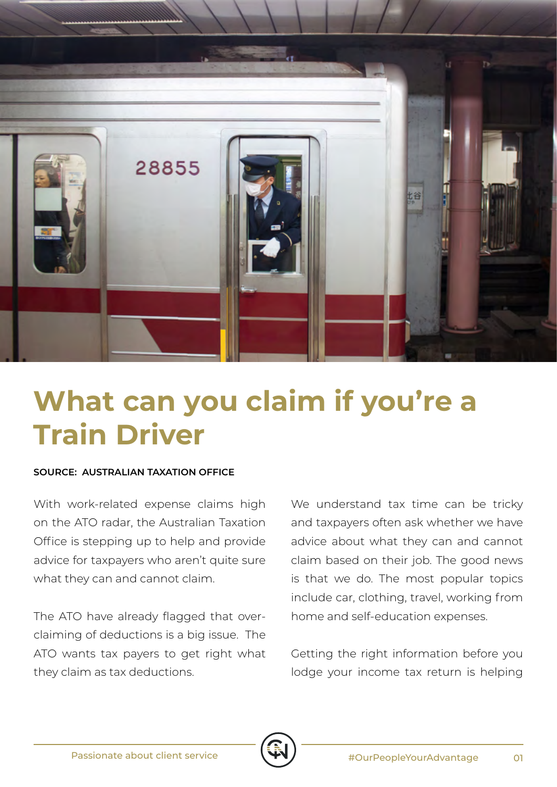

## **What can you claim if you're a Train Driver**

## **SOURCE: AUSTRALIAN TAXATION OFFICE**

With work-related expense claims high on the ATO radar, the Australian Taxation Office is stepping up to help and provide advice for taxpayers who aren't quite sure what they can and cannot claim.

The ATO have already flagged that overclaiming of deductions is a big issue. The ATO wants tax payers to get right what they claim as tax deductions.

We understand tax time can be tricky and taxpayers often ask whether we have advice about what they can and cannot claim based on their job. The good news is that we do. The most popular topics include car, clothing, travel, working from home and self-education expenses.

Getting the right information before you lodge your income tax return is helping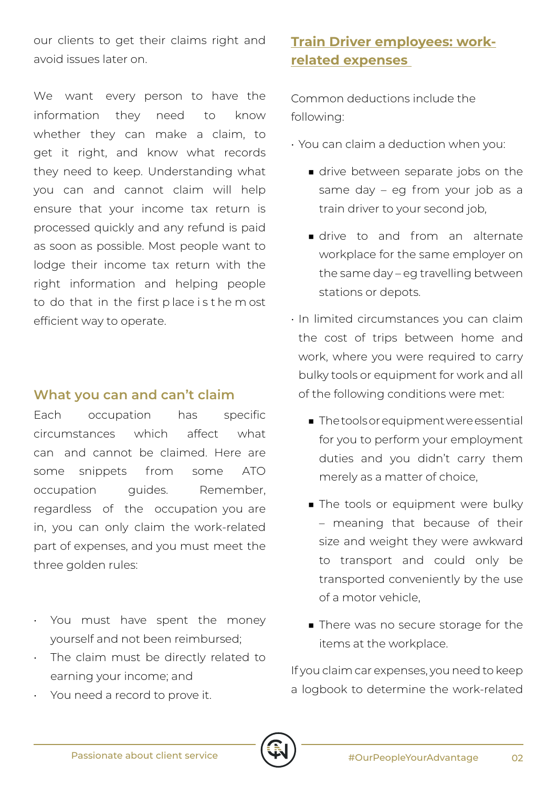our clients to get their claims right and avoid issues later on.

We want every person to have the information they need to know whether they can make a claim, to get it right, and know what records they need to keep. Understanding what you can and cannot claim will help ensure that your income tax return is processed quickly and any refund is paid as soon as possible. Most people want to lodge their income tax return with the right information and helping people to do that in the first p lace i s t he m ost efficient way to operate.

## **What you can and can't claim**

Each occupation has specific circumstances which affect what can and cannot be claimed. Here are some snippets from some ATO occupation quides. Remember, regardless of the occupation you are in, you can only claim the work-related part of expenses, and you must meet the three golden rules:

- You must have spent the money yourself and not been reimbursed;
- The claim must be directly related to earning your income; and
- You need a record to prove it.

## **Train Driver employees: workrelated expenses**

Common deductions include the following:

- You can claim a deduction when you:
	- drive between separate jobs on the same day – eg from your job as a train driver to your second job,
	- drive to and from an alternate workplace for the same employer on the same day – eg travelling between stations or depots.
- In limited circumstances you can claim the cost of trips between home and work, where you were required to carry bulky tools or equipment for work and all of the following conditions were met:
	- The tools or equipment were essential for you to perform your employment duties and you didn't carry them merely as a matter of choice,
	- The tools or equipment were bulky – meaning that because of their size and weight they were awkward to transport and could only be transported conveniently by the use of a motor vehicle,
	- There was no secure storage for the items at the workplace.

If you claim car expenses, you need to keep a logbook to determine the work-related